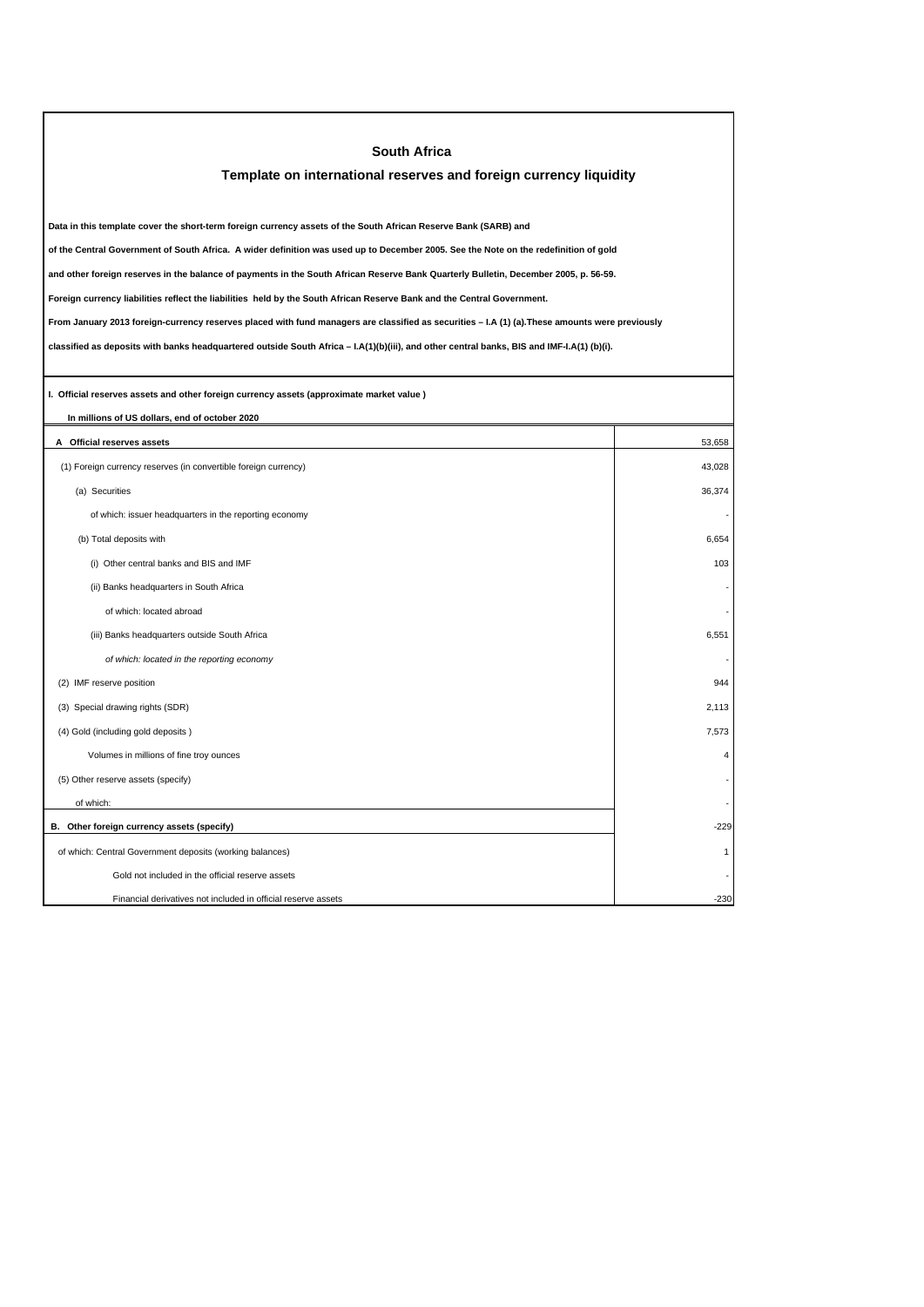| <b>South Africa</b>                                                                                                                             |                |  |  |  |
|-------------------------------------------------------------------------------------------------------------------------------------------------|----------------|--|--|--|
| Template on international reserves and foreign currency liquidity                                                                               |                |  |  |  |
|                                                                                                                                                 |                |  |  |  |
| Data in this template cover the short-term foreign currency assets of the South African Reserve Bank (SARB) and                                 |                |  |  |  |
| of the Central Government of South Africa. A wider definition was used up to December 2005. See the Note on the redefinition of gold            |                |  |  |  |
| and other foreign reserves in the balance of payments in the South African Reserve Bank Quarterly Bulletin, December 2005, p. 56-59.            |                |  |  |  |
| Foreign currency liabilities reflect the liabilities held by the South African Reserve Bank and the Central Government.                         |                |  |  |  |
| From January 2013 foreign-currency reserves placed with fund managers are classified as securities - I.A (1) (a). These amounts were previously |                |  |  |  |
| classified as deposits with banks headquartered outside South Africa - I.A(1)(b)(iii), and other central banks, BIS and IMF-I.A(1) (b)(i).      |                |  |  |  |
|                                                                                                                                                 |                |  |  |  |
| I. Official reserves assets and other foreign currency assets (approximate market value )                                                       |                |  |  |  |
| In millions of US dollars, end of october 2020                                                                                                  |                |  |  |  |
| A Official reserves assets                                                                                                                      | 53,658         |  |  |  |
| (1) Foreign currency reserves (in convertible foreign currency)                                                                                 | 43,028         |  |  |  |
| (a) Securities                                                                                                                                  | 36,374         |  |  |  |
| of which: issuer headquarters in the reporting economy                                                                                          |                |  |  |  |
| (b) Total deposits with                                                                                                                         | 6,654          |  |  |  |
| (i) Other central banks and BIS and IMF                                                                                                         | 103            |  |  |  |
| (ii) Banks headquarters in South Africa                                                                                                         |                |  |  |  |
| of which: located abroad                                                                                                                        |                |  |  |  |
| (iii) Banks headquarters outside South Africa                                                                                                   | 6,551          |  |  |  |
| of which: located in the reporting economy                                                                                                      |                |  |  |  |
| (2) IMF reserve position                                                                                                                        | 944            |  |  |  |
| (3) Special drawing rights (SDR)                                                                                                                | 2,113          |  |  |  |
| (4) Gold (including gold deposits)                                                                                                              | 7,573          |  |  |  |
| Volumes in millions of fine troy ounces                                                                                                         | $\overline{4}$ |  |  |  |
| (5) Other reserve assets (specify)                                                                                                              |                |  |  |  |
| of which:                                                                                                                                       |                |  |  |  |
| B. Other foreign currency assets (specify)                                                                                                      | $-229$         |  |  |  |
| of which: Central Government deposits (working balances)                                                                                        | $\mathbf{1}$   |  |  |  |
| Gold not included in the official reserve assets                                                                                                |                |  |  |  |
| Financial derivatives not included in official reserve assets                                                                                   | $-230$         |  |  |  |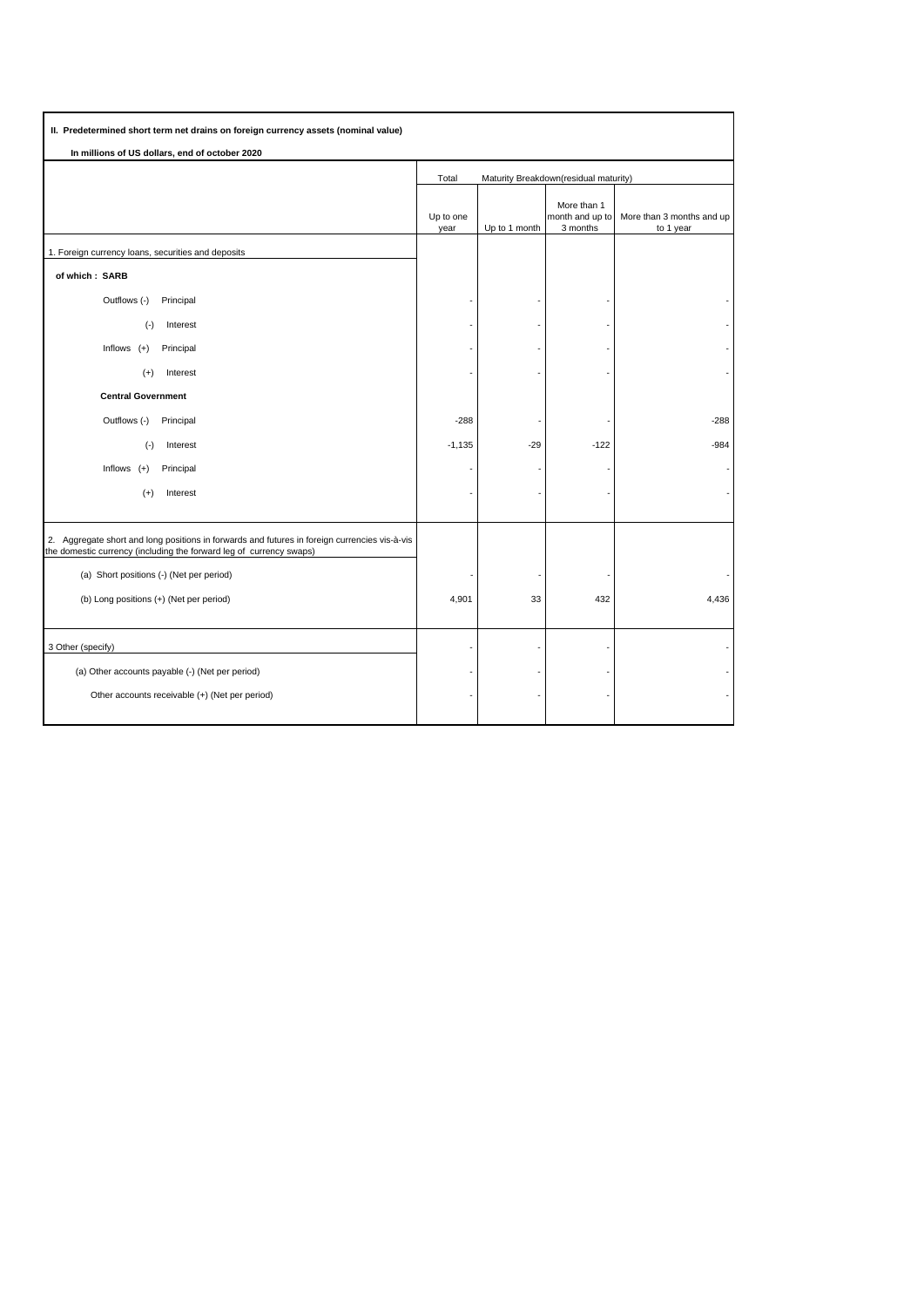| II. Predetermined short term net drains on foreign currency assets (nominal value)                                                                                   |                                                |               |                                            |                                        |  |  |  |  |
|----------------------------------------------------------------------------------------------------------------------------------------------------------------------|------------------------------------------------|---------------|--------------------------------------------|----------------------------------------|--|--|--|--|
| In millions of US dollars, end of october 2020                                                                                                                       |                                                |               |                                            |                                        |  |  |  |  |
|                                                                                                                                                                      | Total<br>Maturity Breakdown(residual maturity) |               |                                            |                                        |  |  |  |  |
|                                                                                                                                                                      | Up to one<br>year                              | Up to 1 month | More than 1<br>month and up to<br>3 months | More than 3 months and up<br>to 1 year |  |  |  |  |
| 1. Foreign currency loans, securities and deposits                                                                                                                   |                                                |               |                                            |                                        |  |  |  |  |
| of which: SARB                                                                                                                                                       |                                                |               |                                            |                                        |  |  |  |  |
| Outflows (-)<br>Principal                                                                                                                                            |                                                |               |                                            |                                        |  |  |  |  |
| $(-)$<br>Interest                                                                                                                                                    |                                                |               |                                            |                                        |  |  |  |  |
| Inflows $(+)$<br>Principal                                                                                                                                           |                                                |               |                                            |                                        |  |  |  |  |
| $(+)$<br>Interest                                                                                                                                                    |                                                |               |                                            |                                        |  |  |  |  |
| <b>Central Government</b>                                                                                                                                            |                                                |               |                                            |                                        |  |  |  |  |
| Outflows (-)<br>Principal                                                                                                                                            | $-288$                                         |               |                                            | $-288$                                 |  |  |  |  |
| Interest<br>$(\cdot)$                                                                                                                                                | $-1,135$                                       | $-29$         | $-122$                                     | $-984$                                 |  |  |  |  |
| Inflows $(+)$<br>Principal                                                                                                                                           |                                                |               |                                            |                                        |  |  |  |  |
| $(+)$<br>Interest                                                                                                                                                    |                                                |               |                                            |                                        |  |  |  |  |
|                                                                                                                                                                      |                                                |               |                                            |                                        |  |  |  |  |
| 2. Aggregate short and long positions in forwards and futures in foreign currencies vis-à-vis<br>the domestic currency (including the forward leg of currency swaps) |                                                |               |                                            |                                        |  |  |  |  |
| (a) Short positions (-) (Net per period)                                                                                                                             |                                                |               |                                            |                                        |  |  |  |  |
| (b) Long positions (+) (Net per period)                                                                                                                              | 4,901                                          | 33            | 432                                        | 4,436                                  |  |  |  |  |
|                                                                                                                                                                      |                                                |               |                                            |                                        |  |  |  |  |
| 3 Other (specify)                                                                                                                                                    |                                                |               |                                            |                                        |  |  |  |  |
| (a) Other accounts payable (-) (Net per period)                                                                                                                      |                                                |               |                                            |                                        |  |  |  |  |
| Other accounts receivable (+) (Net per period)                                                                                                                       |                                                |               |                                            |                                        |  |  |  |  |
|                                                                                                                                                                      |                                                |               |                                            |                                        |  |  |  |  |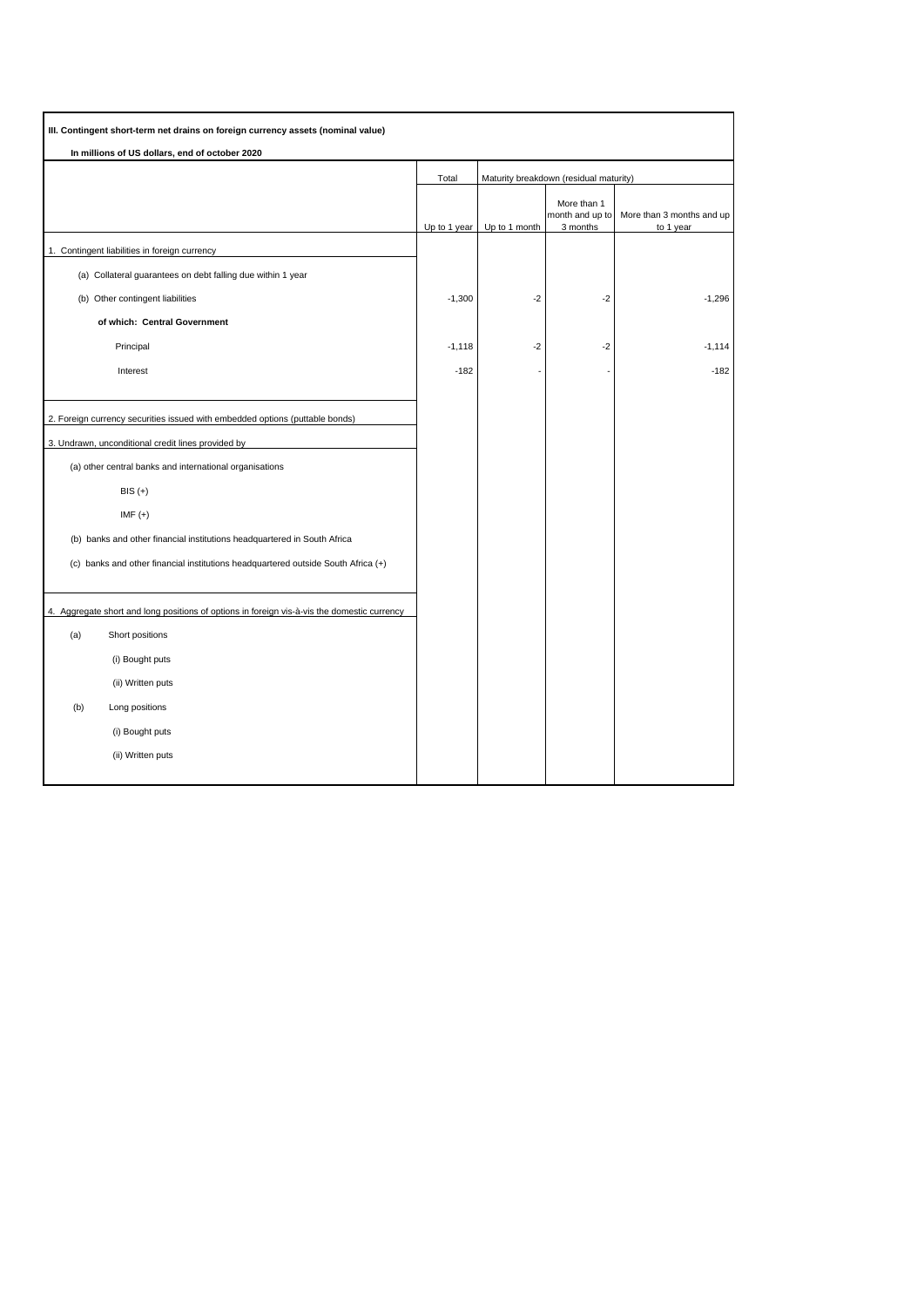| III. Contingent short-term net drains on foreign currency assets (nominal value)            |              |                                        |                                            |                           |
|---------------------------------------------------------------------------------------------|--------------|----------------------------------------|--------------------------------------------|---------------------------|
| In millions of US dollars, end of october 2020                                              |              |                                        |                                            |                           |
|                                                                                             | Total        | Maturity breakdown (residual maturity) |                                            |                           |
|                                                                                             |              |                                        | More than 1<br>month and up to<br>3 months | More than 3 months and up |
| 1. Contingent liabilities in foreign currency                                               | Up to 1 year | Up to 1 month                          |                                            | to 1 year                 |
| (a) Collateral guarantees on debt falling due within 1 year                                 |              |                                        |                                            |                           |
| (b) Other contingent liabilities                                                            | $-1,300$     | $-2$                                   | $-2$                                       | $-1,296$                  |
| of which: Central Government                                                                |              |                                        |                                            |                           |
| Principal                                                                                   | $-1,118$     | $-2$                                   | $-2$                                       | $-1,114$                  |
| Interest                                                                                    | $-182$       |                                        |                                            | $-182$                    |
|                                                                                             |              |                                        |                                            |                           |
| 2. Foreign currency securities issued with embedded options (puttable bonds)                |              |                                        |                                            |                           |
| 3. Undrawn, unconditional credit lines provided by                                          |              |                                        |                                            |                           |
| (a) other central banks and international organisations                                     |              |                                        |                                            |                           |
| $BIS (+)$                                                                                   |              |                                        |                                            |                           |
| $IMF (+)$                                                                                   |              |                                        |                                            |                           |
| (b) banks and other financial institutions headquartered in South Africa                    |              |                                        |                                            |                           |
| (c) banks and other financial institutions headquartered outside South Africa (+)           |              |                                        |                                            |                           |
| 4. Aggregate short and long positions of options in foreign vis-à-vis the domestic currency |              |                                        |                                            |                           |
| (a)<br>Short positions                                                                      |              |                                        |                                            |                           |
| (i) Bought puts                                                                             |              |                                        |                                            |                           |
| (ii) Written puts                                                                           |              |                                        |                                            |                           |
| (b)<br>Long positions                                                                       |              |                                        |                                            |                           |
| (i) Bought puts                                                                             |              |                                        |                                            |                           |
| (ii) Written puts                                                                           |              |                                        |                                            |                           |
|                                                                                             |              |                                        |                                            |                           |